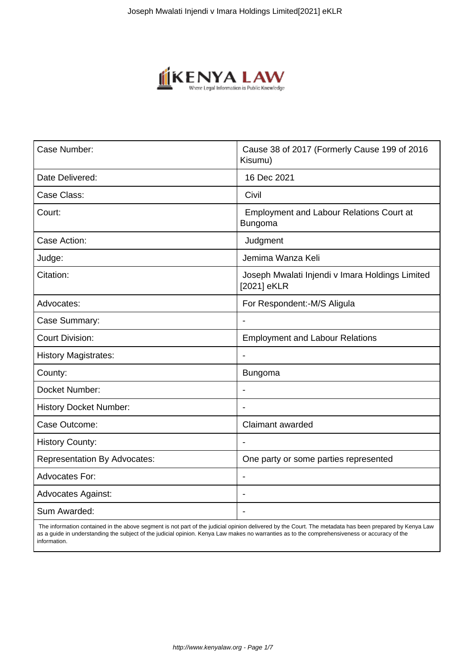

| Case Number:                        | Cause 38 of 2017 (Formerly Cause 199 of 2016<br>Kisumu)        |
|-------------------------------------|----------------------------------------------------------------|
| Date Delivered:                     | 16 Dec 2021                                                    |
| Case Class:                         | Civil                                                          |
| Court:                              | <b>Employment and Labour Relations Court at</b><br>Bungoma     |
| Case Action:                        | Judgment                                                       |
| Judge:                              | Jemima Wanza Keli                                              |
| Citation:                           | Joseph Mwalati Injendi v Imara Holdings Limited<br>[2021] eKLR |
| Advocates:                          | For Respondent:-M/S Aligula                                    |
| Case Summary:                       |                                                                |
| <b>Court Division:</b>              | <b>Employment and Labour Relations</b>                         |
| <b>History Magistrates:</b>         | $\blacksquare$                                                 |
| County:                             | <b>Bungoma</b>                                                 |
| Docket Number:                      |                                                                |
| <b>History Docket Number:</b>       |                                                                |
| Case Outcome:                       | Claimant awarded                                               |
| <b>History County:</b>              |                                                                |
| <b>Representation By Advocates:</b> | One party or some parties represented                          |
| <b>Advocates For:</b>               | $\overline{\phantom{0}}$                                       |
| <b>Advocates Against:</b>           | $\overline{\phantom{0}}$                                       |
| Sum Awarded:                        |                                                                |

 The information contained in the above segment is not part of the judicial opinion delivered by the Court. The metadata has been prepared by Kenya Law as a guide in understanding the subject of the judicial opinion. Kenya Law makes no warranties as to the comprehensiveness or accuracy of the information.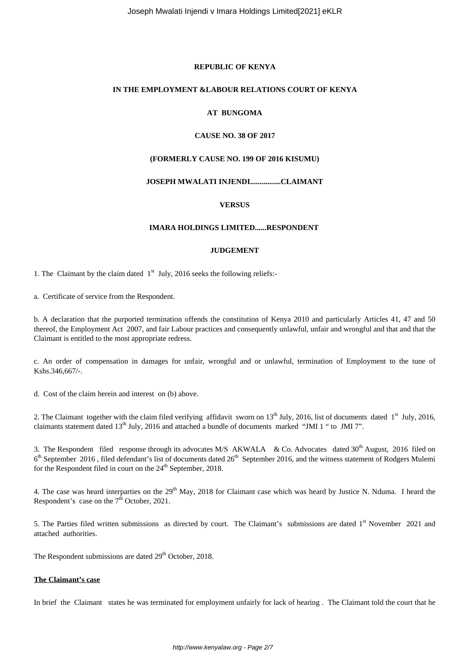## **REPUBLIC OF KENYA**

#### **IN THE EMPLOYMENT &LABOUR RELATIONS COURT OF KENYA**

# **AT BUNGOMA**

#### **CAUSE NO. 38 OF 2017**

#### **(FORMERLY CAUSE NO. 199 OF 2016 KISUMU)**

# **JOSEPH MWALATI INJENDI................CLAIMANT**

## **VERSUS**

#### **IMARA HOLDINGS LIMITED......RESPONDENT**

#### **JUDGEMENT**

1. The Claimant by the claim dated  $1<sup>st</sup>$  July, 2016 seeks the following reliefs:-

a. Certificate of service from the Respondent.

b. A declaration that the purported termination offends the constitution of Kenya 2010 and particularly Articles 41, 47 and 50 thereof, the Employment Act 2007, and fair Labour practices and consequently unlawful, unfair and wrongful and that and that the Claimant is entitled to the most appropriate redress.

c. An order of compensation in damages for unfair, wrongful and or unlawful, termination of Employment to the tune of Kshs.346,667/-.

d. Cost of the claim herein and interest on (b) above.

2. The Claimant together with the claim filed verifying affidavit sworn on  $13<sup>th</sup>$  July, 2016, list of documents dated  $1<sup>st</sup>$  July, 2016, claimants statement dated  $13<sup>th</sup>$  July, 2016 and attached a bundle of documents marked "JMI 1" to JMI 7".

3. The Respondent filed response through its advocates M/S AKWALA & Co. Advocates dated 30<sup>th</sup> August, 2016 filed on  $6<sup>th</sup>$  September 2016, filed defendant's list of documents dated 26<sup>th</sup> September 2016, and the witness statement of Rodgers Mulemi for the Respondent filed in court on the 24<sup>th</sup> September, 2018.

4. The case was heard interparties on the 29<sup>th</sup> May, 2018 for Claimant case which was heard by Justice N. Nduma. I heard the Respondent's case on the  $7<sup>th</sup>$  October, 2021.

5. The Parties filed written submissions as directed by court. The Claimant's submissions are dated 1<sup>st</sup> November 2021 and attached authorities.

The Respondent submissions are dated  $29<sup>th</sup>$  October, 2018.

#### **The Claimant's case**

In brief the Claimant states he was terminated for employment unfairly for lack of hearing . The Claimant told the court that he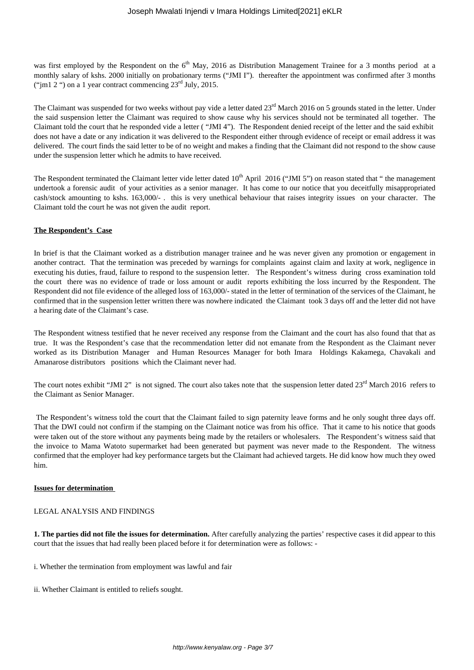was first employed by the Respondent on the 6<sup>th</sup> May, 2016 as Distribution Management Trainee for a 3 months period at a monthly salary of kshs. 2000 initially on probationary terms ("JMI I"). thereafter the appointment was confirmed after 3 months ("im1 2 ") on a 1 year contract commencing  $23^{\text{rd}}$  July, 2015.

The Claimant was suspended for two weeks without pay vide a letter dated 23<sup>rd</sup> March 2016 on 5 grounds stated in the letter. Under the said suspension letter the Claimant was required to show cause why his services should not be terminated all together. The Claimant told the court that he responded vide a letter ( "JMI 4"). The Respondent denied receipt of the letter and the said exhibit does not have a date or any indication it was delivered to the Respondent either through evidence of receipt or email address it was delivered. The court finds the said letter to be of no weight and makes a finding that the Claimant did not respond to the show cause under the suspension letter which he admits to have received.

The Respondent terminated the Claimant letter vide letter dated  $10<sup>th</sup>$  April 2016 ("JMI 5") on reason stated that " the management undertook a forensic audit of your activities as a senior manager. It has come to our notice that you deceitfully misappropriated cash/stock amounting to kshs. 163,000/- . this is very unethical behaviour that raises integrity issues on your character. The Claimant told the court he was not given the audit report.

# **The Respondent's Case**

In brief is that the Claimant worked as a distribution manager trainee and he was never given any promotion or engagement in another contract. That the termination was preceded by warnings for complaints against claim and laxity at work, negligence in executing his duties, fraud, failure to respond to the suspension letter. The Respondent's witness during cross examination told the court there was no evidence of trade or loss amount or audit reports exhibiting the loss incurred by the Respondent. The Respondent did not file evidence of the alleged loss of 163,000/- stated in the letter of termination of the services of the Claimant, he confirmed that in the suspension letter written there was nowhere indicated the Claimant took 3 days off and the letter did not have a hearing date of the Claimant's case.

The Respondent witness testified that he never received any response from the Claimant and the court has also found that that as true. It was the Respondent's case that the recommendation letter did not emanate from the Respondent as the Claimant never worked as its Distribution Manager and Human Resources Manager for both Imara Holdings Kakamega, Chavakali and Amanarose distributors positions which the Claimant never had.

The court notes exhibit "JMI 2" is not signed. The court also takes note that the suspension letter dated  $23<sup>rd</sup>$  March 2016 refers to the Claimant as Senior Manager.

The Respondent's witness told the court that the Claimant failed to sign paternity leave forms and he only sought three days off. That the DWI could not confirm if the stamping on the Claimant notice was from his office. That it came to his notice that goods were taken out of the store without any payments being made by the retailers or wholesalers. The Respondent's witness said that the invoice to Mama Watoto supermarket had been generated but payment was never made to the Respondent. The witness confirmed that the employer had key performance targets but the Claimant had achieved targets. He did know how much they owed him.

## **Issues for determination**

## LEGAL ANALYSIS AND FINDINGS

**1. The parties did not file the issues for determination.** After carefully analyzing the parties' respective cases it did appear to this court that the issues that had really been placed before it for determination were as follows: -

i. Whether the termination from employment was lawful and fair

ii. Whether Claimant is entitled to reliefs sought.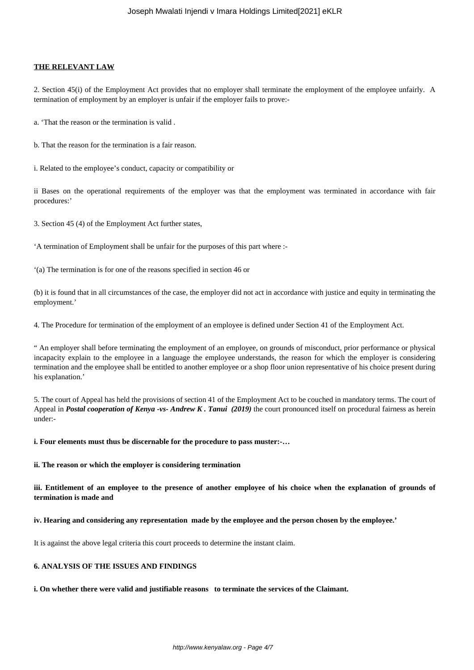#### **THE RELEVANT LAW**

2. Section 45(i) of the Employment Act provides that no employer shall terminate the employment of the employee unfairly. A termination of employment by an employer is unfair if the employer fails to prove:-

a. 'That the reason or the termination is valid .

b. That the reason for the termination is a fair reason.

i. Related to the employee's conduct, capacity or compatibility or

ii Bases on the operational requirements of the employer was that the employment was terminated in accordance with fair procedures:'

3. Section 45 (4) of the Employment Act further states,

'A termination of Employment shall be unfair for the purposes of this part where :-

'(a) The termination is for one of the reasons specified in section 46 or

(b) it is found that in all circumstances of the case, the employer did not act in accordance with justice and equity in terminating the employment.'

4. The Procedure for termination of the employment of an employee is defined under Section 41 of the Employment Act.

" An employer shall before terminating the employment of an employee, on grounds of misconduct, prior performance or physical incapacity explain to the employee in a language the employee understands, the reason for which the employer is considering termination and the employee shall be entitled to another employee or a shop floor union representative of his choice present during his explanation.'

5. The court of Appeal has held the provisions of section 41 of the Employment Act to be couched in mandatory terms. The court of Appeal in *Postal cooperation of Kenya -vs- Andrew K. Tanui (2019)* the court pronounced itself on procedural fairness as herein under:-

**i. Four elements must thus be discernable for the procedure to pass muster:-…**

**ii. The reason or which the employer is considering termination** 

**iii. Entitlement of an employee to the presence of another employee of his choice when the explanation of grounds of termination is made and** 

**iv. Hearing and considering any representation made by the employee and the person chosen by the employee.'**

It is against the above legal criteria this court proceeds to determine the instant claim.

## **6. ANALYSIS OF THE ISSUES AND FINDINGS**

**i. On whether there were valid and justifiable reasons to terminate the services of the Claimant.**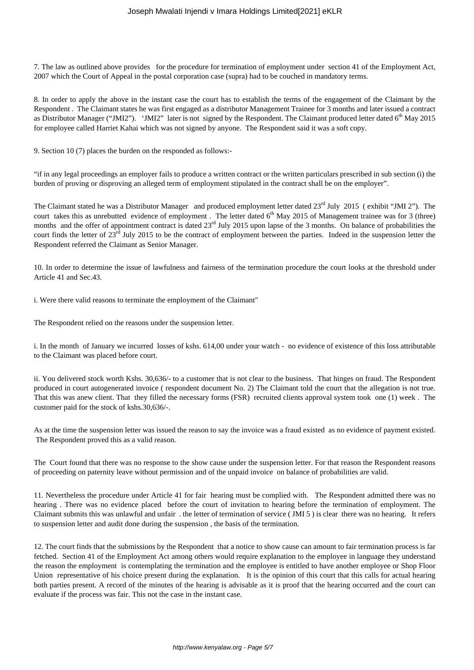7. The law as outlined above provides for the procedure for termination of employment under section 41 of the Employment Act, 2007 which the Court of Appeal in the postal corporation case (supra) had to be couched in mandatory terms.

8. In order to apply the above in the instant case the court has to establish the terms of the engagement of the Claimant by the Respondent . The Claimant states he was first engaged as a distributor Management Trainee for 3 months and later issued a contract as Distributor Manager ("JMI2"). 'JMI2" later is not signed by the Respondent. The Claimant produced letter dated  $6<sup>th</sup>$  May 2015 for employee called Harriet Kahai which was not signed by anyone. The Respondent said it was a soft copy.

9. Section 10 (7) places the burden on the responded as follows:-

"if in any legal proceedings an employer fails to produce a written contract or the written particulars prescribed in sub section (i) the burden of proving or disproving an alleged term of employment stipulated in the contract shall be on the employer".

The Claimant stated he was a Distributor Manager and produced employment letter dated  $23<sup>rd</sup>$  July 2015 (exhibit "JMI 2"). The court takes this as unrebutted evidence of employment. The letter dated  $6<sup>th</sup>$  May 2015 of Management trainee was for 3 (three) months and the offer of appointment contract is dated  $23<sup>rd</sup>$  July 2015 upon lapse of the 3 months. On balance of probabilities the court finds the letter of 23<sup>rd</sup> July 2015 to be the contract of employment between the parties. Indeed in the suspension letter the Respondent referred the Claimant as Senior Manager.

10. In order to determine the issue of lawfulness and fairness of the termination procedure the court looks at the threshold under Article 41 and Sec.43.

i. Were there valid reasons to terminate the employment of the Claimant"

The Respondent relied on the reasons under the suspension letter.

i. In the month of January we incurred losses of kshs. 614,00 under your watch - no evidence of existence of this loss attributable to the Claimant was placed before court.

ii. You delivered stock worth Kshs. 30,636/- to a customer that is not clear to the business. That hinges on fraud. The Respondent produced in court autogenerated invoice ( respondent document No. 2) The Claimant told the court that the allegation is not true. That this was anew client. That they filled the necessary forms (FSR) recruited clients approval system took one (1) week . The customer paid for the stock of kshs.30,636/-.

As at the time the suspension letter was issued the reason to say the invoice was a fraud existed as no evidence of payment existed. The Respondent proved this as a valid reason.

The Court found that there was no response to the show cause under the suspension letter. For that reason the Respondent reasons of proceeding on paternity leave without permission and of the unpaid invoice on balance of probabilities are valid.

11. Nevertheless the procedure under Article 41 for fair hearing must be complied with. The Respondent admitted there was no hearing . There was no evidence placed before the court of invitation to hearing before the termination of employment. The Claimant submits this was unlawful and unfair . the letter of termination of service ( JMI 5 ) is clear there was no hearing. It refers to suspension letter and audit done during the suspension , the basis of the termination.

12. The court finds that the submissions by the Respondent that a notice to show cause can amount to fair termination process is far fetched. Section 41 of the Employment Act among others would require explanation to the employee in language they understand the reason the employment is contemplating the termination and the employee is entitled to have another employee or Shop Floor Union representative of his choice present during the explanation. It is the opinion of this court that this calls for actual hearing both parties present. A record of the minutes of the hearing is advisable as it is proof that the hearing occurred and the court can evaluate if the process was fair. This not the case in the instant case.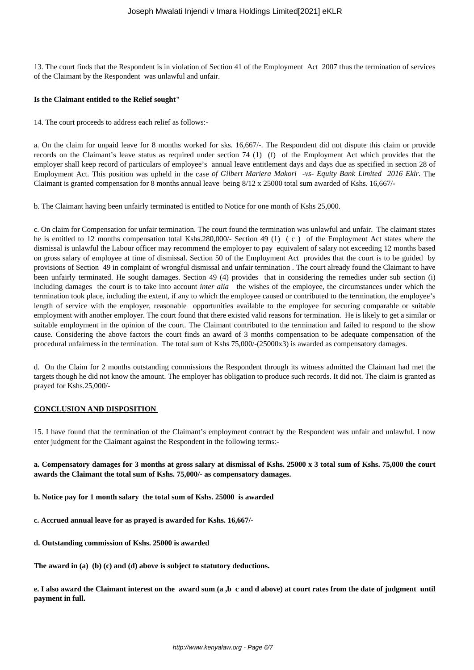13. The court finds that the Respondent is in violation of Section 41 of the Employment Act 2007 thus the termination of services of the Claimant by the Respondent was unlawful and unfair.

#### **Is the Claimant entitled to the Relief sought"**

14. The court proceeds to address each relief as follows:-

a. On the claim for unpaid leave for 8 months worked for sks. 16,667/-. The Respondent did not dispute this claim or provide records on the Claimant's leave status as required under section 74 (1) (f) of the Employment Act which provides that the employer shall keep record of particulars of employee's annual leave entitlement days and days due as specified in section 28 of Employment Act. This position was upheld in the case *of Gilbert Mariera Makori -vs- Equity Bank Limited 2016 Eklr.* The Claimant is granted compensation for 8 months annual leave being 8/12 x 25000 total sum awarded of Kshs. 16,667/-

b. The Claimant having been unfairly terminated is entitled to Notice for one month of Kshs 25,000.

c. On claim for Compensation for unfair termination. The court found the termination was unlawful and unfair. The claimant states he is entitled to 12 months compensation total Kshs.280,000/- Section 49 (1) (c) of the Employment Act states where the dismissal is unlawful the Labour officer may recommend the employer to pay equivalent of salary not exceeding 12 months based on gross salary of employee at time of dismissal. Section 50 of the Employment Act provides that the court is to be guided by provisions of Section 49 in complaint of wrongful dismissal and unfair termination . The court already found the Claimant to have been unfairly terminated. He sought damages. Section 49 (4) provides that in considering the remedies under sub section (i) including damages the court is to take into account *inter alia* the wishes of the employee, the circumstances under which the termination took place, including the extent, if any to which the employee caused or contributed to the termination, the employee's length of service with the employer, reasonable opportunities available to the employee for securing comparable or suitable employment with another employer. The court found that there existed valid reasons for termination. He is likely to get a similar or suitable employment in the opinion of the court. The Claimant contributed to the termination and failed to respond to the show cause. Considering the above factors the court finds an award of 3 months compensation to be adequate compensation of the procedural unfairness in the termination. The total sum of Kshs 75,000/-(25000x3) is awarded as compensatory damages.

d. On the Claim for 2 months outstanding commissions the Respondent through its witness admitted the Claimant had met the targets though he did not know the amount. The employer has obligation to produce such records. It did not. The claim is granted as prayed for Kshs.25,000/-

## **CONCLUSION AND DISPOSITION**

15. I have found that the termination of the Claimant's employment contract by the Respondent was unfair and unlawful. I now enter judgment for the Claimant against the Respondent in the following terms:-

# **a. Compensatory damages for 3 months at gross salary at dismissal of Kshs. 25000 x 3 total sum of Kshs. 75,000 the court awards the Claimant the total sum of Kshs. 75,000/- as compensatory damages.**

**b. Notice pay for 1 month salary the total sum of Kshs. 25000 is awarded**

**c. Accrued annual leave for as prayed is awarded for Kshs. 16,667/-**

**d. Outstanding commission of Kshs. 25000 is awarded** 

**The award in (a) (b) (c) and (d) above is subject to statutory deductions.**

**e. I also award the Claimant interest on the award sum (a ,b c and d above) at court rates from the date of judgment until payment in full.**